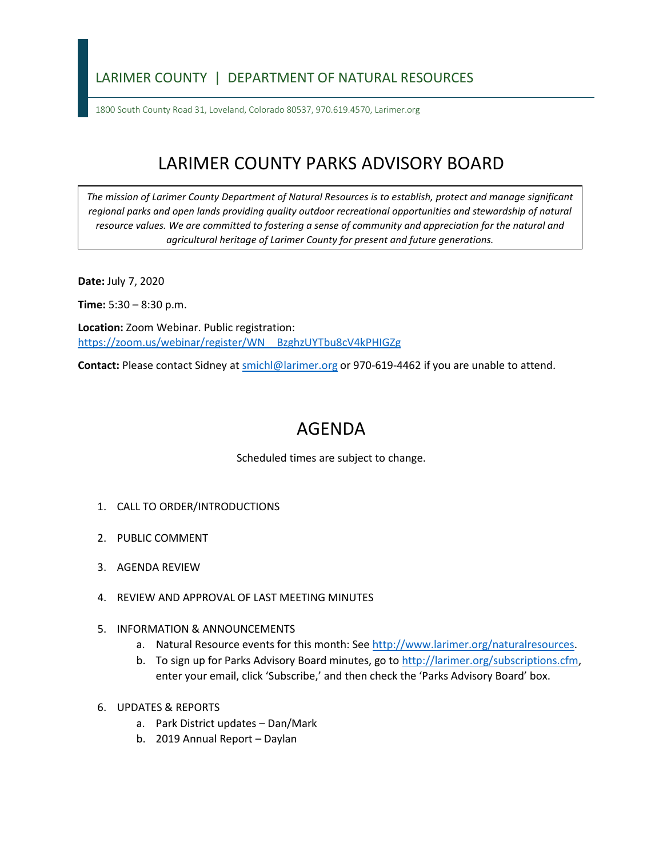## LARIMER COUNTY | DEPARTMENT OF NATURAL RESOURCES

1800 South County Road 31, Loveland, Colorado 80537, 970.619.4570, Larimer.org

## LARIMER COUNTY PARKS ADVISORY BOARD

*The mission of Larimer County Department of Natural Resources is to establish, protect and manage significant*  regional parks and open lands providing quality outdoor recreational opportunities and stewardship of natural *resource values. We are committed to fostering a sense of community and appreciation for the natural and agricultural heritage of Larimer County for present and future generations.*

**Date:** July 7, 2020

**Time:** 5:30 – 8:30 p.m.

**Location:** Zoom Webinar. Public registration: [https://zoom.us/webinar/register/WN\\_\\_BzghzUYTbu8cV4kPHIGZg](https://zoom.us/webinar/register/WN__BzghzUYTbu8cV4kPHIGZg)

**Contact:** Please contact Sidney a[t smichl@larimer.org](mailto:smichl@larimer.org) or 970-619-4462 if you are unable to attend.

## AGENDA

Scheduled times are subject to change.

- 1. CALL TO ORDER/INTRODUCTIONS
- 2. PUBLIC COMMENT
- 3. AGENDA REVIEW
- 4. REVIEW AND APPROVAL OF LAST MEETING MINUTES
- 5. INFORMATION & ANNOUNCEMENTS
	- a. Natural Resource events for this month: See [http://www.larimer.org/naturalresources.](http://www.larimer.org/naturalresources)
	- b. To sign up for Parks Advisory Board minutes, go to [http://larimer.org/subscriptions.cfm,](http://larimer.org/subscriptions.cfm) enter your email, click 'Subscribe,' and then check the 'Parks Advisory Board' box.
- 6. UPDATES & REPORTS
	- a. Park District updates Dan/Mark
	- b. 2019 Annual Report Daylan